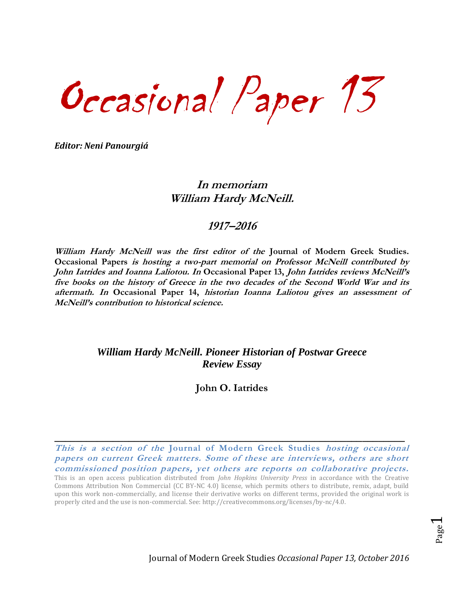Occasional Paper 13

*Editor: Neni Panourgiá*

## **In memoriam William Hardy McNeill.**

## **1917–2016**

**William Hardy McNeill was the first editor of the Journal of Modern Greek Studies. Occasional Papers is hosting a two-part memorial on Professor McNeill contributed by John Iatrides and Ioanna Laliotou. In Occasional Paper 13, John Iatrides reviews McNeill's five books on the history of Greece in the two decades of the Second World War and its aftermath. In Occasional Paper 14, historian Ioanna Laliotou gives an assessment of McNeill's contribution to historical science.**

## *William Hardy McNeill. Pioneer Historian of Postwar Greece Review Essay*

**John O. Iatrides**

**This is a section of the Journal of Modern Greek Studies hosting occasional papers on current Greek matters. Some of these are interviews, others are short commissioned position papers, yet others are reports on collaborative projects.** 

**\_\_\_\_\_\_\_\_\_\_\_\_\_\_\_\_\_\_\_\_\_\_\_\_\_\_\_\_\_\_\_\_\_\_\_\_\_\_\_\_\_\_\_\_\_\_\_\_\_\_\_\_\_\_\_\_\_\_\_\_\_\_\_\_\_\_**

This is an open access publication distributed from *John Hopkins University Press* in accordance with the Creative Commons Attribution Non Commercial (CC BY-NC 4.0) license, which permits others to distribute, remix, adapt, build upon this work non-commercially, and license their derivative works on different terms, provided the original work is properly cited and the use is non-commercial. See: [http://creativecommons.org/licenses/by-nc/4.0.](http://creativecommons.org/licenses/by-nc/4.0)

Page  $\blacktriangleleft$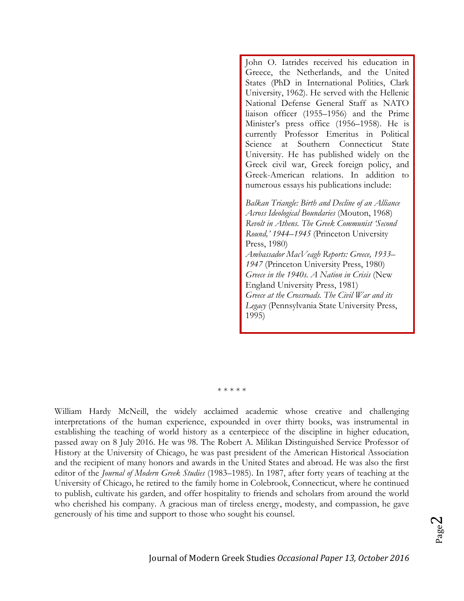John O. Iatrides received his education in Greece, the Netherlands, and the United States (PhD in International Politics, Clark University, 1962). He served with the Hellenic National Defense General Staff as NATO liaison officer (1955–1956) and the Prime Minister's press office (1956–1958). He is currently Professor Emeritus in Political Science at Southern Connecticut State University. He has published widely on the Greek civil war, Greek foreign policy, and Greek-American relations. In addition to numerous essays his publications include:

*Balkan Triangle: Birth and Decline of an Alliance Across Ideological Boundaries* (Mouton, 1968) *Revolt in Athens. The Greek Communist 'Second Round,' 1944–1945* (Princeton University Press, 1980) *Ambassador MacVeagh Reports: Greece, 1933– 1947* (Princeton University Press, 1980) *Greece in the 1940s. A Nation in Crisis* (New England University Press, 1981) *Greece at the Crossroads. The Civil War and its Legacy* (Pennsylvania State University Press, 1995)

\* \* \* \* \*

William Hardy McNeill, the widely acclaimed academic whose creative and challenging interpretations of the human experience, expounded in over thirty books, was instrumental in establishing the teaching of world history as a centerpiece of the discipline in higher education, passed away on 8 July 2016. He was 98. The Robert A. Milikan Distinguished Service Professor of History at the University of Chicago, he was past president of the American Historical Association and the recipient of many honors and awards in the United States and abroad. He was also the first editor of the *Journal of Modern Greek Studies* (1983–1985). In 1987, after forty years of teaching at the University of Chicago, he retired to the family home in Colebrook, Connecticut, where he continued to publish, cultivate his garden, and offer hospitality to friends and scholars from around the world who cherished his company. A gracious man of tireless energy, modesty, and compassion, he gave generously of his time and support to those who sought his counsel.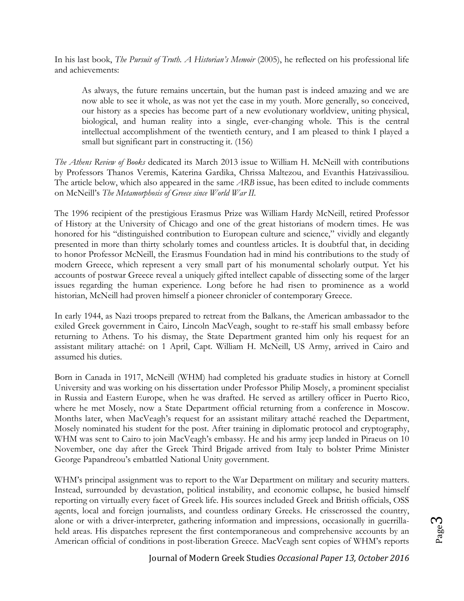In his last book, *The Pursuit of Truth. A Historian's Memoir* (2005), he reflected on his professional life and achievements:

As always, the future remains uncertain, but the human past is indeed amazing and we are now able to see it whole, as was not yet the case in my youth. More generally, so conceived, our history as a species has become part of a new evolutionary worldview, uniting physical, biological, and human reality into a single, ever-changing whole. This is the central intellectual accomplishment of the twentieth century, and I am pleased to think I played a small but significant part in constructing it. (156)

*The Athens Review of Books* dedicated its March 2013 issue to William H. McNeill with contributions by Professors Thanos Veremis, Katerina Gardika, Chrissa Maltezou, and Evanthis Hatzivassiliou. The article below, which also appeared in the same *ARB* issue, has been edited to include comments on McNeill's *The Metamorphosis of Greece since World War II.*

The 1996 recipient of the prestigious Erasmus Prize was William Hardy McNeill, retired Professor of History at the University of Chicago and one of the great historians of modern times. He was honored for his "distinguished contribution to European culture and science," vividly and elegantly presented in more than thirty scholarly tomes and countless articles. It is doubtful that, in deciding to honor Professor McNeill, the Erasmus Foundation had in mind his contributions to the study of modern Greece, which represent a very small part of his monumental scholarly output. Yet his accounts of postwar Greece reveal a uniquely gifted intellect capable of dissecting some of the larger issues regarding the human experience. Long before he had risen to prominence as a world historian, McNeill had proven himself a pioneer chronicler of contemporary Greece.

In early 1944, as Nazi troops prepared to retreat from the Balkans, the American ambassador to the exiled Greek government in Cairo, Lincoln MacVeagh, sought to re-staff his small embassy before returning to Athens. To his dismay, the State Department granted him only his request for an assistant military attaché: on 1 April, Capt. William H. McNeill, US Army, arrived in Cairo and assumed his duties.

Born in Canada in 1917, McNeill (WHM) had completed his graduate studies in history at Cornell University and was working on his dissertation under Professor Philip Mosely, a prominent specialist in Russia and Eastern Europe, when he was drafted. He served as artillery officer in Puerto Rico, where he met Mosely, now a State Department official returning from a conference in Moscow. Months later, when MacVeagh's request for an assistant military attaché reached the Department, Mosely nominated his student for the post. After training in diplomatic protocol and cryptography, WHM was sent to Cairo to join MacVeagh's embassy. He and his army jeep landed in Piraeus on 10 November, one day after the Greek Third Brigade arrived from Italy to bolster Prime Minister George Papandreou's embattled National Unity government.

WHM's principal assignment was to report to the War Department on military and security matters. Instead, surrounded by devastation, political instability, and economic collapse, he busied himself reporting on virtually every facet of Greek life. His sources included Greek and British officials, OSS agents, local and foreign journalists, and countless ordinary Greeks. He crisscrossed the country, alone or with a driver-interpreter, gathering information and impressions, occasionally in guerrillaheld areas. His dispatches represent the first contemporaneous and comprehensive accounts by an American official of conditions in post-liberation Greece. MacVeagh sent copies of WHM's reports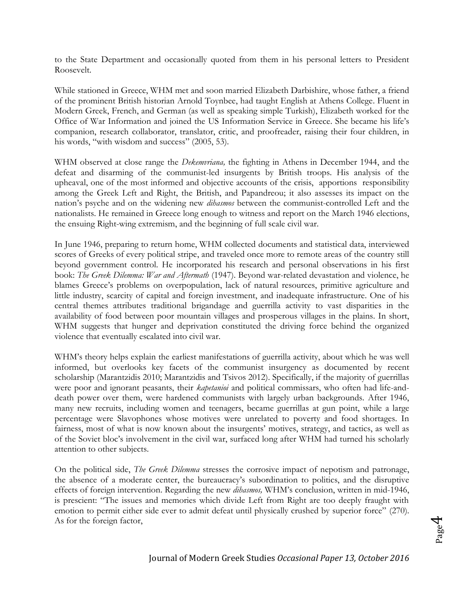to the State Department and occasionally quoted from them in his personal letters to President Roosevelt.

While stationed in Greece, WHM met and soon married Elizabeth Darbishire, whose father, a friend of the prominent British historian Arnold Toynbee, had taught English at Athens College. Fluent in Modern Greek, French, and German (as well as speaking simple Turkish), Elizabeth worked for the Office of War Information and joined the US Information Service in Greece. She became his life's companion, research collaborator, translator, critic, and proofreader, raising their four children, in his words, "with wisdom and success" (2005, 53).

WHM observed at close range the *Dekemvriana,* the fighting in Athens in December 1944, and the defeat and disarming of the communist-led insurgents by British troops. His analysis of the upheaval, one of the most informed and objective accounts of the crisis, apportions responsibility among the Greek Left and Right, the British, and Papandreou; it also assesses its impact on the nation's psyche and on the widening new *dihasmos* between the communist-controlled Left and the nationalists. He remained in Greece long enough to witness and report on the March 1946 elections, the ensuing Right-wing extremism, and the beginning of full scale civil war.

In June 1946, preparing to return home, WHM collected documents and statistical data, interviewed scores of Greeks of every political stripe, and traveled once more to remote areas of the country still beyond government control. He incorporated his research and personal observations in his first book: *The Greek Dilemma: War and Aftermath* (1947). Beyond war-related devastation and violence, he blames Greece's problems on overpopulation, lack of natural resources, primitive agriculture and little industry, scarcity of capital and foreign investment, and inadequate infrastructure. One of his central themes attributes traditional brigandage and guerrilla activity to vast disparities in the availability of food between poor mountain villages and prosperous villages in the plains. In short, WHM suggests that hunger and deprivation constituted the driving force behind the organized violence that eventually escalated into civil war.

WHM's theory helps explain the earliest manifestations of guerrilla activity, about which he was well informed, but overlooks key facets of the communist insurgency as documented by recent scholarship (Marantzidis 2010; Marantzidis and Tsivos 2012). Specifically, if the majority of guerrillas were poor and ignorant peasants, their *kapetanioi* and political commissars, who often had life-anddeath power over them, were hardened communists with largely urban backgrounds. After 1946, many new recruits, including women and teenagers, became guerrillas at gun point, while a large percentage were Slavophones whose motives were unrelated to poverty and food shortages. In fairness, most of what is now known about the insurgents' motives, strategy, and tactics, as well as of the Soviet bloc's involvement in the civil war, surfaced long after WHM had turned his scholarly attention to other subjects.

On the political side, *The Greek Dilemma* stresses the corrosive impact of nepotism and patronage, the absence of a moderate center, the bureaucracy's subordination to politics, and the disruptive effects of foreign intervention. Regarding the new *dihasmos,* WHM's conclusion, written in mid-1946, is prescient: "The issues and memories which divide Left from Right are too deeply fraught with emotion to permit either side ever to admit defeat until physically crushed by superior force" (270). As for the foreign factor,

Page 4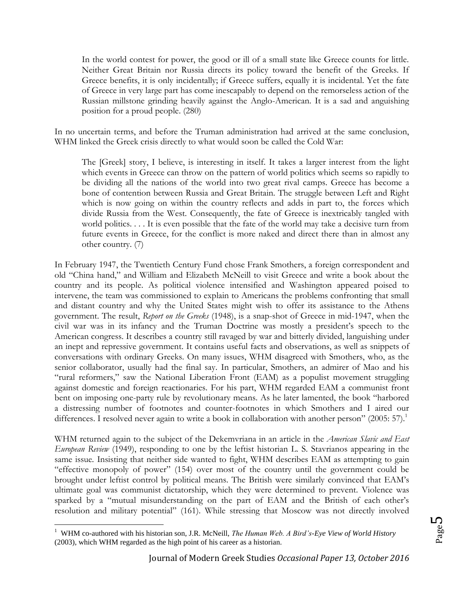In the world contest for power, the good or ill of a small state like Greece counts for little. Neither Great Britain nor Russia directs its policy toward the benefit of the Greeks. If Greece benefits, it is only incidentally; if Greece suffers, equally it is incidental. Yet the fate of Greece in very large part has come inescapably to depend on the remorseless action of the Russian millstone grinding heavily against the Anglo-American. It is a sad and anguishing position for a proud people. (280)

In no uncertain terms, and before the Truman administration had arrived at the same conclusion, WHM linked the Greek crisis directly to what would soon be called the Cold War:

The [Greek] story, I believe, is interesting in itself. It takes a larger interest from the light which events in Greece can throw on the pattern of world politics which seems so rapidly to be dividing all the nations of the world into two great rival camps. Greece has become a bone of contention between Russia and Great Britain. The struggle between Left and Right which is now going on within the country reflects and adds in part to, the forces which divide Russia from the West. Consequently, the fate of Greece is inextricably tangled with world politics. . . . It is even possible that the fate of the world may take a decisive turn from future events in Greece, for the conflict is more naked and direct there than in almost any other country. (7)

In February 1947, the Twentieth Century Fund chose Frank Smothers, a foreign correspondent and old "China hand," and William and Elizabeth McNeill to visit Greece and write a book about the country and its people. As political violence intensified and Washington appeared poised to intervene, the team was commissioned to explain to Americans the problems confronting that small and distant country and why the United States might wish to offer its assistance to the Athens government. The result, *Report on the Greeks* (1948), is a snap-shot of Greece in mid-1947, when the civil war was in its infancy and the Truman Doctrine was mostly a president's speech to the American congress. It describes a country still ravaged by war and bitterly divided, languishing under an inept and repressive government. It contains useful facts and observations, as well as snippets of conversations with ordinary Greeks. On many issues, WHM disagreed with Smothers, who, as the senior collaborator, usually had the final say. In particular, Smothers, an admirer of Mao and his "rural reformers," saw the National Liberation Front (EAM) as a populist movement struggling against domestic and foreign reactionaries. For his part, WHM regarded EAM a communist front bent on imposing one-party rule by revolutionary means. As he later lamented, the book "harbored a distressing number of footnotes and counter-footnotes in which Smothers and I aired our differences. I resolved never again to write a book in collaboration with another person" (2005: 57).<sup>1</sup>

WHM returned again to the subject of the Dekemvriana in an article in the *American Slavic and East European Review* (1949), responding to one by the leftist historian L. S. Stavrianos appearing in the same issue*.* Insisting that neither side wanted to fight, WHM describes EAM as attempting to gain "effective monopoly of power" (154) over most of the country until the government could be brought under leftist control by political means. The British were similarly convinced that EAM's ultimate goal was communist dictatorship, which they were determined to prevent. Violence was sparked by a "mutual misunderstanding on the part of EAM and the British of each other's resolution and military potential" (161). While stressing that Moscow was not directly involved

 $\overline{a}$ 

<sup>&</sup>lt;sup>1</sup> WHM co-authored with his historian son, J.R. McNeill, *The Human Web. A Bird's-Eye View of World History* (2003), which WHM regarded as the high point of his career as a historian.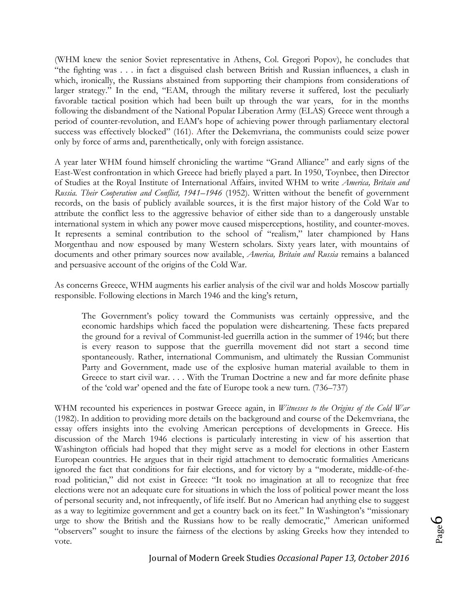(WHM knew the senior Soviet representative in Athens, Col. Gregori Popov), he concludes that "the fighting was . . . in fact a disguised clash between British and Russian influences, a clash in which, ironically, the Russians abstained from supporting their champions from considerations of larger strategy." In the end, "EAM, through the military reverse it suffered, lost the peculiarly favorable tactical position which had been built up through the war years, for in the months following the disbandment of the National Popular Liberation Army (ELAS) Greece went through a period of counter-revolution, and EAM's hope of achieving power through parliamentary electoral success was effectively blocked" (161). After the Dekemvriana, the communists could seize power only by force of arms and, parenthetically, only with foreign assistance.

A year later WHM found himself chronicling the wartime "Grand Alliance" and early signs of the East-West confrontation in which Greece had briefly played a part. In 1950, Toynbee, then Director of Studies at the Royal Institute of International Affairs, invited WHM to write *America, Britain and Russia. Their Cooperation and Conflict, 1941–1946* (1952). Written without the benefit of government records, on the basis of publicly available sources, it is the first major history of the Cold War to attribute the conflict less to the aggressive behavior of either side than to a dangerously unstable international system in which any power move caused misperceptions, hostility, and counter-moves. It represents a seminal contribution to the school of "realism," later championed by Hans Morgenthau and now espoused by many Western scholars. Sixty years later, with mountains of documents and other primary sources now available, *America, Britain and Russia* remains a balanced and persuasive account of the origins of the Cold War.

As concerns Greece, WHM augments his earlier analysis of the civil war and holds Moscow partially responsible. Following elections in March 1946 and the king's return,

The Government's policy toward the Communists was certainly oppressive, and the economic hardships which faced the population were disheartening. These facts prepared the ground for a revival of Communist-led guerrilla action in the summer of 1946; but there is every reason to suppose that the guerrilla movement did not start a second time spontaneously. Rather, international Communism, and ultimately the Russian Communist Party and Government, made use of the explosive human material available to them in Greece to start civil war. . . . With the Truman Doctrine a new and far more definite phase of the 'cold war' opened and the fate of Europe took a new turn. (736–737)

WHM recounted his experiences in postwar Greece again, in *Witnesses to the Origins of the Cold War* (1982). In addition to providing more details on the background and course of the Dekemvriana, the essay offers insights into the evolving American perceptions of developments in Greece. His discussion of the March 1946 elections is particularly interesting in view of his assertion that Washington officials had hoped that they might serve as a model for elections in other Eastern European countries. He argues that in their rigid attachment to democratic formalities Americans ignored the fact that conditions for fair elections, and for victory by a "moderate, middle-of-theroad politician," did not exist in Greece: "It took no imagination at all to recognize that free elections were not an adequate cure for situations in which the loss of political power meant the loss of personal security and, not infrequently, of life itself. But no American had anything else to suggest as a way to legitimize government and get a country back on its feet." In Washington's "missionary urge to show the British and the Russians how to be really democratic," American uniformed "observers" sought to insure the fairness of the elections by asking Greeks how they intended to vote.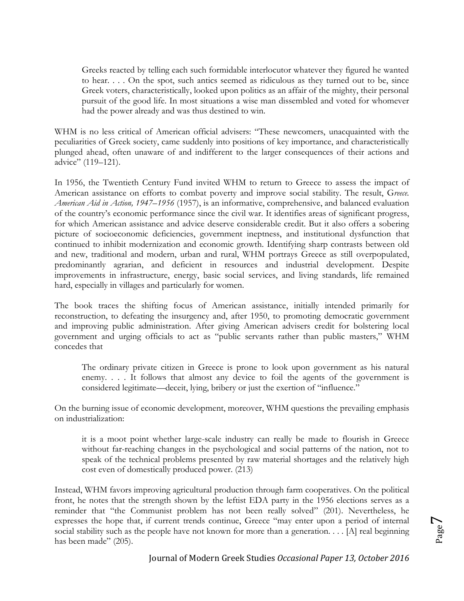Greeks reacted by telling each such formidable interlocutor whatever they figured he wanted to hear. . . . On the spot, such antics seemed as ridiculous as they turned out to be, since Greek voters, characteristically, looked upon politics as an affair of the mighty, their personal pursuit of the good life. In most situations a wise man dissembled and voted for whomever had the power already and was thus destined to win.

WHM is no less critical of American official advisers: "These newcomers, unacquainted with the peculiarities of Greek society, came suddenly into positions of key importance, and characteristically plunged ahead, often unaware of and indifferent to the larger consequences of their actions and advice" (119–121).

In 1956, the Twentieth Century Fund invited WHM to return to Greece to assess the impact of American assistance on efforts to combat poverty and improve social stability. The result, G*reece. American Aid in Action, 1947–1956* (1957), is an informative, comprehensive, and balanced evaluation of the country's economic performance since the civil war. It identifies areas of significant progress, for which American assistance and advice deserve considerable credit. But it also offers a sobering picture of socioeconomic deficiencies, government ineptness, and institutional dysfunction that continued to inhibit modernization and economic growth. Identifying sharp contrasts between old and new, traditional and modern, urban and rural, WHM portrays Greece as still overpopulated, predominantly agrarian, and deficient in resources and industrial development. Despite improvements in infrastructure, energy, basic social services, and living standards, life remained hard, especially in villages and particularly for women.

The book traces the shifting focus of American assistance, initially intended primarily for reconstruction, to defeating the insurgency and, after 1950, to promoting democratic government and improving public administration. After giving American advisers credit for bolstering local government and urging officials to act as "public servants rather than public masters," WHM concedes that

The ordinary private citizen in Greece is prone to look upon government as his natural enemy. . . . It follows that almost any device to foil the agents of the government is considered legitimate—deceit, lying, bribery or just the exertion of "influence."

On the burning issue of economic development, moreover, WHM questions the prevailing emphasis on industrialization:

it is a moot point whether large-scale industry can really be made to flourish in Greece without far-reaching changes in the psychological and social patterns of the nation, not to speak of the technical problems presented by raw material shortages and the relatively high cost even of domestically produced power. (213)

Instead, WHM favors improving agricultural production through farm cooperatives. On the political front, he notes that the strength shown by the leftist EDA party in the 1956 elections serves as a reminder that "the Communist problem has not been really solved" (201). Nevertheless, he expresses the hope that, if current trends continue, Greece "may enter upon a period of internal social stability such as the people have not known for more than a generation. . . . [A] real beginning has been made" (205).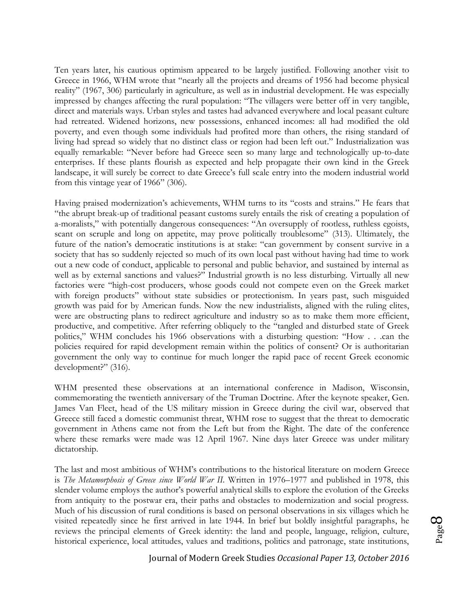Ten years later, his cautious optimism appeared to be largely justified. Following another visit to Greece in 1966, WHM wrote that "nearly all the projects and dreams of 1956 had become physical reality" (1967, 306) particularly in agriculture, as well as in industrial development. He was especially impressed by changes affecting the rural population: "The villagers were better off in very tangible, direct and materials ways. Urban styles and tastes had advanced everywhere and local peasant culture had retreated. Widened horizons, new possessions, enhanced incomes: all had modified the old poverty, and even though some individuals had profited more than others, the rising standard of living had spread so widely that no distinct class or region had been left out." Industrialization was equally remarkable: "Never before had Greece seen so many large and technologically up-to-date enterprises. If these plants flourish as expected and help propagate their own kind in the Greek landscape, it will surely be correct to date Greece's full scale entry into the modern industrial world from this vintage year of 1966" (306).

Having praised modernization's achievements, WHM turns to its "costs and strains." He fears that "the abrupt break-up of traditional peasant customs surely entails the risk of creating a population of a-moralists," with potentially dangerous consequences: "An oversupply of rootless, ruthless egoists, scant on scruple and long on appetite, may prove politically troublesome" (313). Ultimately, the future of the nation's democratic institutions is at stake: "can government by consent survive in a society that has so suddenly rejected so much of its own local past without having had time to work out a new code of conduct, applicable to personal and public behavior, and sustained by internal as well as by external sanctions and values?" Industrial growth is no less disturbing. Virtually all new factories were "high-cost producers, whose goods could not compete even on the Greek market with foreign products" without state subsidies or protectionism. In years past, such misguided growth was paid for by American funds. Now the new industrialists, aligned with the ruling elites, were are obstructing plans to redirect agriculture and industry so as to make them more efficient, productive, and competitive. After referring obliquely to the "tangled and disturbed state of Greek politics," WHM concludes his 1966 observations with a disturbing question: "How . . .can the policies required for rapid development remain within the politics of consent? Or is authoritarian government the only way to continue for much longer the rapid pace of recent Greek economic development?" (316).

WHM presented these observations at an international conference in Madison, Wisconsin, commemorating the twentieth anniversary of the Truman Doctrine. After the keynote speaker, Gen. James Van Fleet, head of the US military mission in Greece during the civil war, observed that Greece still faced a domestic communist threat, WHM rose to suggest that the threat to democratic government in Athens came not from the Left but from the Right. The date of the conference where these remarks were made was 12 April 1967. Nine days later Greece was under military dictatorship.

The last and most ambitious of WHM's contributions to the historical literature on modern Greece is *The Metamorphosis of Greece since World War II*. Written in 1976–1977 and published in 1978, this slender volume employs the author's powerful analytical skills to explore the evolution of the Greeks from antiquity to the postwar era, their paths and obstacles to modernization and social progress. Much of his discussion of rural conditions is based on personal observations in six villages which he visited repeatedly since he first arrived in late 1944. In brief but boldly insightful paragraphs, he reviews the principal elements of Greek identity: the land and people, language, religion, culture, historical experience, local attitudes, values and traditions, politics and patronage, state institutions,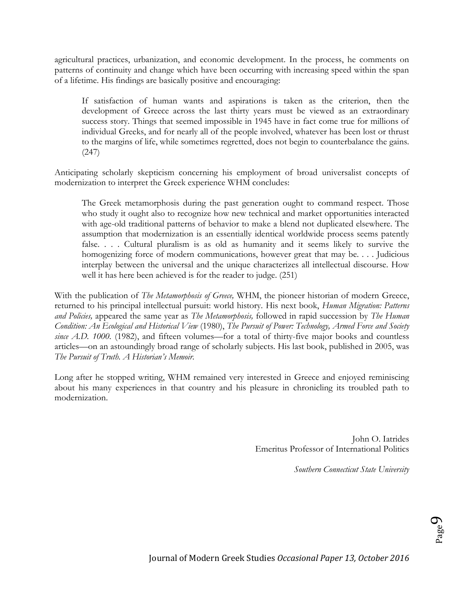agricultural practices, urbanization, and economic development. In the process, he comments on patterns of continuity and change which have been occurring with increasing speed within the span of a lifetime. His findings are basically positive and encouraging:

If satisfaction of human wants and aspirations is taken as the criterion, then the development of Greece across the last thirty years must be viewed as an extraordinary success story. Things that seemed impossible in 1945 have in fact come true for millions of individual Greeks, and for nearly all of the people involved, whatever has been lost or thrust to the margins of life, while sometimes regretted, does not begin to counterbalance the gains. (247)

Anticipating scholarly skepticism concerning his employment of broad universalist concepts of modernization to interpret the Greek experience WHM concludes:

The Greek metamorphosis during the past generation ought to command respect. Those who study it ought also to recognize how new technical and market opportunities interacted with age-old traditional patterns of behavior to make a blend not duplicated elsewhere. The assumption that modernization is an essentially identical worldwide process seems patently false. . . . Cultural pluralism is as old as humanity and it seems likely to survive the homogenizing force of modern communications, however great that may be. . . . Judicious interplay between the universal and the unique characterizes all intellectual discourse. How well it has here been achieved is for the reader to judge. (251)

With the publication of *The Metamorphosis of Greece,* WHM, the pioneer historian of modern Greece, returned to his principal intellectual pursuit: world history. His next book, *Human Migration: Patterns and Policies,* appeared the same year as *The Metamorphosis,* followed in rapid succession by *The Human Condition: An Ecological and Historical View* (1980), *The Pursuit of Power: Technology, Armed Force and Society*  since A.D. 1000. (1982), and fifteen volumes—for a total of thirty-five major books and countless articles—on an astoundingly broad range of scholarly subjects. His last book, published in 2005, was *The Pursuit of Truth. A Historian's Memoir.*

Long after he stopped writing, WHM remained very interested in Greece and enjoyed reminiscing about his many experiences in that country and his pleasure in chronicling its troubled path to modernization.

> John O. Iatrides Emeritus Professor of International Politics

> > *Southern Connecticut State University*